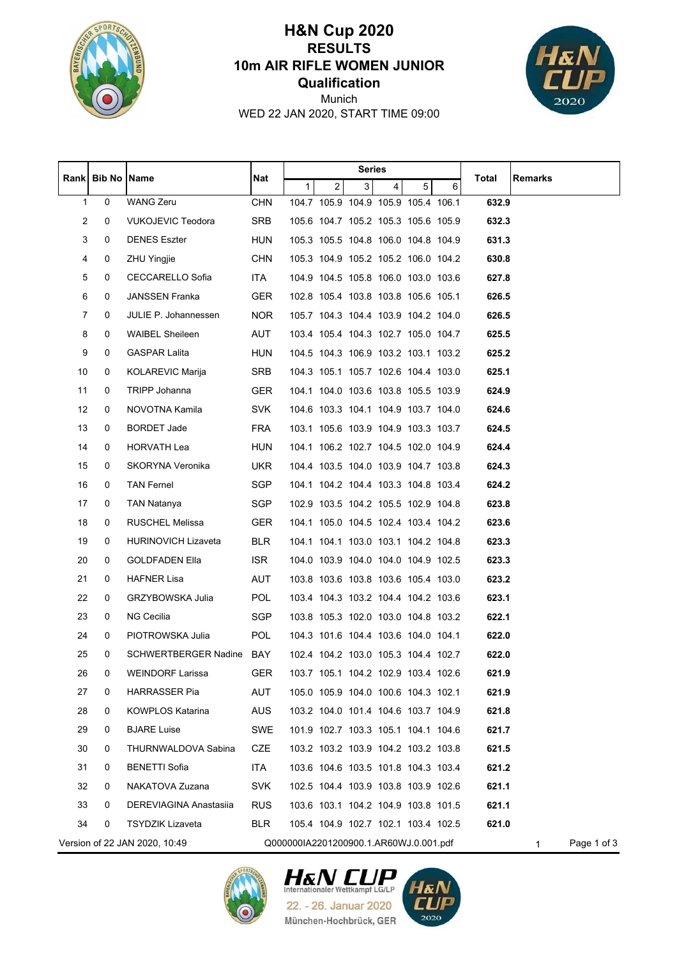

## **Qualification 10m AIR RIFLE WOMEN JUNIOR RESULTS H&N Cup 2020**



WED 22 JAN 2020, START TIME 09:00 Munich

|                |               |                               | Series     |                                        |                |                                     |                         |   |                                     |       |                  |  |
|----------------|---------------|-------------------------------|------------|----------------------------------------|----------------|-------------------------------------|-------------------------|---|-------------------------------------|-------|------------------|--|
|                | Rank   Bib No | Name                          | Nat        | $\mathbf{1}$                           | $\overline{2}$ | 3 <sup>1</sup>                      | $\overline{\mathbf{4}}$ | 5 | 6                                   | Total | Remarks          |  |
| 1              | 0             | <b>WANG Zeru</b>              | <b>CHN</b> |                                        |                | 104.7 105.9 104.9 105.9 105.4 106.1 |                         |   |                                     | 632.9 |                  |  |
| $\overline{c}$ | 0             | <b>VUKOJEVIC Teodora</b>      | <b>SRB</b> |                                        |                | 105.6 104.7 105.2 105.3 105.6 105.9 |                         |   |                                     | 632.3 |                  |  |
| 3              | 0             | <b>DENES Eszter</b>           | <b>HUN</b> |                                        |                | 105.3 105.5 104.8 106.0 104.8 104.9 |                         |   |                                     | 631.3 |                  |  |
| 4              | 0             | <b>ZHU Yingjie</b>            | <b>CHN</b> |                                        |                | 105.3 104.9 105.2 105.2 106.0 104.2 |                         |   |                                     | 630.8 |                  |  |
| 5              | 0             | CECCARELLO Sofia              | ITA        |                                        |                | 104.9 104.5 105.8 106.0 103.0 103.6 |                         |   |                                     | 627.8 |                  |  |
| 6              | 0             | <b>JANSSEN Franka</b>         | <b>GER</b> |                                        |                | 102.8 105.4 103.8 103.8 105.6 105.1 |                         |   |                                     | 626.5 |                  |  |
| 7              | 0             | JULIE P. Johannessen          | <b>NOR</b> |                                        |                |                                     |                         |   | 105.7 104.3 104.4 103.9 104.2 104.0 | 626.5 |                  |  |
| 8              | 0             | <b>WAIBEL Sheileen</b>        | AUT        |                                        |                | 103.4 105.4 104.3 102.7 105.0 104.7 |                         |   |                                     | 625.5 |                  |  |
| 9              | 0             | <b>GASPAR Lalita</b>          | <b>HUN</b> |                                        |                | 104.5 104.3 106.9 103.2 103.1 103.2 |                         |   |                                     | 625.2 |                  |  |
| 10             | 0             | KOLAREVIC Marija              | SRB        |                                        |                | 104.3 105.1 105.7 102.6 104.4 103.0 |                         |   |                                     | 625.1 |                  |  |
| 11             | 0             | TRIPP Johanna                 | <b>GER</b> |                                        |                | 104.1 104.0 103.6 103.8 105.5 103.9 |                         |   |                                     | 624.9 |                  |  |
| 12             | 0             | NOVOTNA Kamila                | <b>SVK</b> |                                        |                | 104.6 103.3 104.1 104.9 103.7 104.0 |                         |   |                                     | 624.6 |                  |  |
| 13             | 0             | <b>BORDET Jade</b>            | <b>FRA</b> |                                        |                | 103.1 105.6 103.9 104.9 103.3 103.7 |                         |   |                                     | 624.5 |                  |  |
| 14             | 0             | HORVATH Lea                   | <b>HUN</b> |                                        |                | 104.1 106.2 102.7 104.5 102.0 104.9 |                         |   |                                     | 624.4 |                  |  |
| 15             | 0             | SKORYNA Veronika              | <b>UKR</b> |                                        |                | 104.4 103.5 104.0 103.9 104.7 103.8 |                         |   |                                     | 624.3 |                  |  |
| 16             | 0             | <b>TAN Fernel</b>             | SGP        |                                        |                | 104.1 104.2 104.4 103.3 104.8 103.4 |                         |   |                                     | 624.2 |                  |  |
| 17             | 0             | TAN Natanya                   | SGP        |                                        |                | 102.9 103.5 104.2 105.5 102.9 104.8 |                         |   |                                     | 623.8 |                  |  |
| 18             | 0             | RUSCHEL Melissa               | <b>GER</b> |                                        |                |                                     |                         |   | 104.1 105.0 104.5 102.4 103.4 104.2 | 623.6 |                  |  |
| 19             | 0             | <b>HURINOVICH Lizaveta</b>    | <b>BLR</b> |                                        |                | 104.1 104.1 103.0 103.1 104.2 104.8 |                         |   |                                     | 623.3 |                  |  |
| 20             | 0             | <b>GOLDFADEN Ella</b>         | <b>ISR</b> |                                        |                | 104.0 103.9 104.0 104.0 104.9 102.5 |                         |   |                                     | 623.3 |                  |  |
| 21             | 0             | HAFNER Lisa                   | <b>AUT</b> |                                        |                | 103.8 103.6 103.8 103.6 105.4 103.0 |                         |   |                                     | 623.2 |                  |  |
| 22             | 0             | GRZYBOWSKA Julia              | <b>POL</b> |                                        |                | 103.4 104.3 103.2 104.4 104.2 103.6 |                         |   |                                     | 623.1 |                  |  |
| 23             | 0             | NG Cecilia                    | <b>SGP</b> |                                        |                | 103.8 105.3 102.0 103.0 104.8 103.2 |                         |   |                                     | 622.1 |                  |  |
| 24             | 0             | PIOTROWSKA Julia              | <b>POL</b> |                                        |                | 104.3 101.6 104.4 103.6 104.0 104.1 |                         |   |                                     | 622.0 |                  |  |
| 25             | 0             | SCHWERTBERGER Nadine BAY      |            |                                        |                | 102.4 104.2 103.0 105.3 104.4 102.7 |                         |   |                                     | 622.0 |                  |  |
| 26             | 0             | <b>WEINDORF Larissa</b>       | <b>GER</b> |                                        |                | 103.7 105.1 104.2 102.9 103.4 102.6 |                         |   |                                     | 621.9 |                  |  |
| 27             | 0             | <b>HARRASSER Pia</b>          | AUT        |                                        |                | 105.0 105.9 104.0 100.6 104.3 102.1 |                         |   |                                     | 621.9 |                  |  |
| 28             | 0             | <b>KOWPLOS Katarina</b>       | <b>AUS</b> |                                        |                | 103.2 104.0 101.4 104.6 103.7 104.9 |                         |   |                                     | 621.8 |                  |  |
| 29             | 0             | <b>BJARE Luise</b>            | SWE        |                                        |                | 101.9 102.7 103.3 105.1 104.1 104.6 |                         |   |                                     | 621.7 |                  |  |
| 30             | 0             | THURNWALDOVA Sabina           | CZE        |                                        |                | 103.2 103.2 103.9 104.2 103.2 103.8 |                         |   |                                     | 621.5 |                  |  |
| 31             | 0             | <b>BENETTI Sofia</b>          | <b>ITA</b> |                                        |                | 103.6 104.6 103.5 101.8 104.3 103.4 |                         |   |                                     | 621.2 |                  |  |
| 32             | 0             | NAKATOVA Zuzana               | SVK.       |                                        |                | 102.5 104.4 103.9 103.8 103.9 102.6 |                         |   |                                     | 621.1 |                  |  |
| 33             | 0             | DEREVIAGINA Anastasija        | <b>RUS</b> |                                        |                | 103.6 103.1 104.2 104.9 103.8 101.5 |                         |   |                                     | 621.1 |                  |  |
| 34             | 0             | <b>TSYDZIK Lizaveta</b>       | <b>BLR</b> |                                        |                | 105.4 104.9 102.7 102.1 103.4 102.5 |                         |   |                                     | 621.0 |                  |  |
|                |               | Version of 22 JAN 2020, 10:49 |            | Q000000IA2201200900.1.AR60WJ.0.001.pdf |                |                                     |                         |   |                                     |       | Page 1 of 3<br>1 |  |





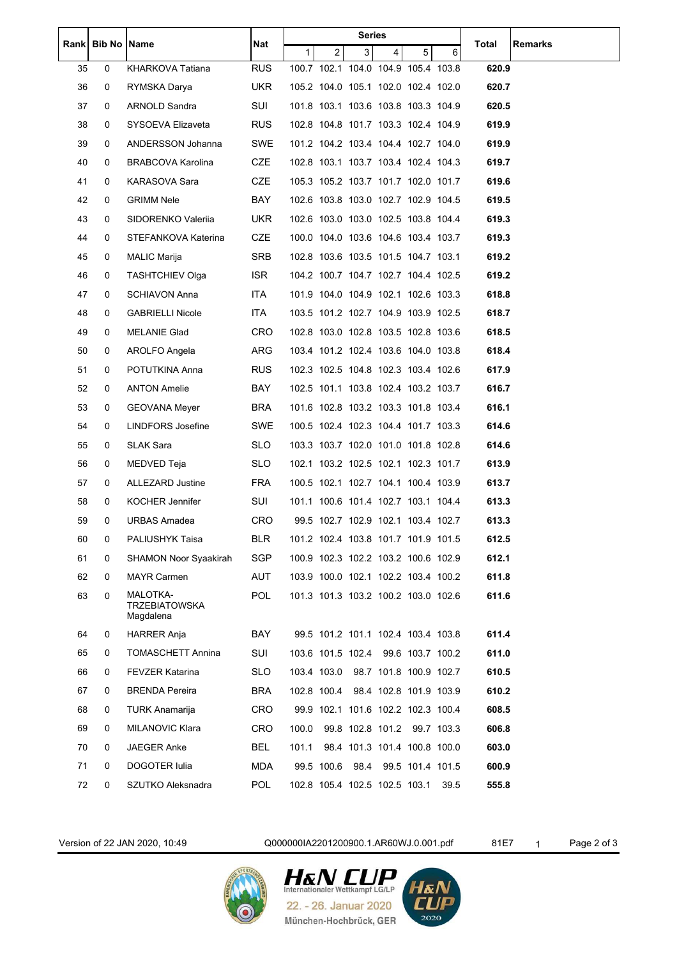|      | <b>Bib No Name</b> |                                               | Nat        |              |                | <b>Series</b> |                                     |   |      |       |         |
|------|--------------------|-----------------------------------------------|------------|--------------|----------------|---------------|-------------------------------------|---|------|-------|---------|
| Rank |                    |                                               |            | $\mathbf{1}$ | $\overline{2}$ | 3             | $\overline{4}$                      | 5 | 6    | Total | Remarks |
| 35   | 0                  | KHARKOVA Tatiana                              | <b>RUS</b> |              |                |               | 100.7 102.1 104.0 104.9 105.4 103.8 |   |      | 620.9 |         |
| 36   | 0                  | RYMSKA Darya                                  | <b>UKR</b> |              |                |               | 105.2 104.0 105.1 102.0 102.4 102.0 |   |      | 620.7 |         |
| 37   | 0                  | ARNOLD Sandra                                 | SUI        |              |                |               | 101.8 103.1 103.6 103.8 103.3 104.9 |   |      | 620.5 |         |
| 38   | 0                  | SYSOEVA Elizaveta                             | <b>RUS</b> |              |                |               | 102.8 104.8 101.7 103.3 102.4 104.9 |   |      | 619.9 |         |
| 39   | 0                  | ANDERSSON Johanna                             | <b>SWE</b> |              |                |               | 101.2 104.2 103.4 104.4 102.7 104.0 |   |      | 619.9 |         |
| 40   | 0                  | <b>BRABCOVA Karolina</b>                      | CZE        |              |                |               | 102.8 103.1 103.7 103.4 102.4 104.3 |   |      | 619.7 |         |
| 41   | 0                  | <b>KARASOVA Sara</b>                          | <b>CZE</b> |              |                |               | 105.3 105.2 103.7 101.7 102.0 101.7 |   |      | 619.6 |         |
| 42   | 0                  | <b>GRIMM Nele</b>                             | BAY        |              |                |               | 102.6 103.8 103.0 102.7 102.9 104.5 |   |      | 619.5 |         |
| 43   | 0                  | SIDORENKO Valeriia                            | <b>UKR</b> |              |                |               | 102.6 103.0 103.0 102.5 103.8 104.4 |   |      | 619.3 |         |
| 44   | 0                  | STEFANKOVA Katerina                           | CZE        |              |                |               | 100.0 104.0 103.6 104.6 103.4 103.7 |   |      | 619.3 |         |
| 45   | 0                  | <b>MALIC Marija</b>                           | SRB        |              |                |               | 102.8 103.6 103.5 101.5 104.7 103.1 |   |      | 619.2 |         |
| 46   | 0                  | <b>TASHTCHIEV Olga</b>                        | <b>ISR</b> |              |                |               | 104.2 100.7 104.7 102.7 104.4 102.5 |   |      | 619.2 |         |
| 47   | 0                  | <b>SCHIAVON Anna</b>                          | <b>ITA</b> |              |                |               | 101.9 104.0 104.9 102.1 102.6 103.3 |   |      | 618.8 |         |
| 48   | 0                  | <b>GABRIELLI Nicole</b>                       | ITA.       |              |                |               | 103.5 101.2 102.7 104.9 103.9 102.5 |   |      | 618.7 |         |
| 49   | 0                  | MELANIE Glad                                  | <b>CRO</b> |              |                |               | 102.8 103.0 102.8 103.5 102.8 103.6 |   |      | 618.5 |         |
| 50   | 0                  | AROLFO Angela                                 | <b>ARG</b> |              |                |               | 103.4 101.2 102.4 103.6 104.0 103.8 |   |      | 618.4 |         |
| 51   | 0                  | POTUTKINA Anna                                | <b>RUS</b> |              |                |               | 102.3 102.5 104.8 102.3 103.4 102.6 |   |      | 617.9 |         |
| 52   | 0                  | <b>ANTON Amelie</b>                           | BAY        |              |                |               | 102.5 101.1 103.8 102.4 103.2 103.7 |   |      | 616.7 |         |
| 53   | 0                  | <b>GEOVANA Meyer</b>                          | <b>BRA</b> |              |                |               | 101.6 102.8 103.2 103.3 101.8 103.4 |   |      | 616.1 |         |
| 54   | 0                  | LINDFORS Josefine                             | <b>SWE</b> |              |                |               | 100.5 102.4 102.3 104.4 101.7 103.3 |   |      | 614.6 |         |
| 55   | 0                  | SLAK Sara                                     | SLO.       |              |                |               | 103.3 103.7 102.0 101.0 101.8 102.8 |   |      | 614.6 |         |
| 56   | 0                  | MEDVED Teja                                   | <b>SLO</b> |              |                |               | 102.1 103.2 102.5 102.1 102.3 101.7 |   |      | 613.9 |         |
| 57   | 0                  | ALLEZARD Justine                              | <b>FRA</b> |              |                |               | 100.5 102.1 102.7 104.1 100.4 103.9 |   |      | 613.7 |         |
| 58   | 0                  | <b>KOCHER Jennifer</b>                        | SUI        |              |                |               | 101.1 100.6 101.4 102.7 103.1 104.4 |   |      | 613.3 |         |
| 59   | 0                  | <b>URBAS Amadea</b>                           | CRO        |              |                |               | 99.5 102.7 102.9 102.1 103.4 102.7  |   |      | 613.3 |         |
| 60   | 0                  | PALIUSHYK Taisa                               | <b>BLR</b> |              |                |               | 101.2 102.4 103.8 101.7 101.9 101.5 |   |      | 612.5 |         |
| 61   | 0                  | <b>SHAMON Noor Syaakirah</b>                  | <b>SGP</b> |              |                |               | 100.9 102.3 102.2 103.2 100.6 102.9 |   |      | 612.1 |         |
| 62   | 0                  | <b>MAYR Carmen</b>                            | AUT        |              |                |               | 103.9 100.0 102.1 102.2 103.4 100.2 |   |      | 611.8 |         |
| 63   | 0                  | MALOTKA-<br><b>TRZEBIATOWSKA</b><br>Magdalena | <b>POL</b> |              |                |               | 101.3 101.3 103.2 100.2 103.0 102.6 |   |      | 611.6 |         |
| 64   | 0                  | HARRER Anja                                   | BAY        |              |                |               | 99.5 101.2 101.1 102.4 103.4 103.8  |   |      | 611.4 |         |
| 65   | 0                  | <b>TOMASCHETT Annina</b>                      | SUI        |              |                |               | 103.6 101.5 102.4 99.6 103.7 100.2  |   |      | 611.0 |         |
| 66   | 0                  | <b>FEVZER Katarina</b>                        | SLO        |              |                |               | 103.4 103.0 98.7 101.8 100.9 102.7  |   |      | 610.5 |         |
| 67   | 0                  | <b>BRENDA Pereira</b>                         | BRA        |              | 102.8 100.4    |               | 98.4 102.8 101.9 103.9              |   |      | 610.2 |         |
| 68   | 0                  | TURK Anamarija                                | CRO        |              |                |               | 99.9 102.1 101.6 102.2 102.3 100.4  |   |      | 608.5 |         |
| 69   | 0                  | MILANOVIC Klara                               | <b>CRO</b> | 100.0        |                |               | 99.8 102.8 101.2 99.7 103.3         |   |      | 606.8 |         |
| 70   | 0                  | JAEGER Anke                                   | BEL        | 101.1        |                |               | 98.4 101.3 101.4 100.8 100.0        |   |      | 603.0 |         |
| 71   | 0                  | DOGOTER Iulia                                 | <b>MDA</b> |              |                |               | 99.5 100.6 98.4 99.5 101.4 101.5    |   |      | 600.9 |         |
| 72   | 0                  | SZUTKO Aleksnadra                             | <b>POL</b> |              |                |               | 102.8 105.4 102.5 102.5 103.1       |   | 39.5 | 555.8 |         |
|      |                    |                                               |            |              |                |               |                                     |   |      |       |         |

Version of 22 JAN 2020, 10:49 Q000000IA2201200900.1.AR60WJ.0.001.pdf 81E7 1 Page 2 of 3



**HEN CUP** 22. - 26. Januar 2020 München-Hochbrück, GER